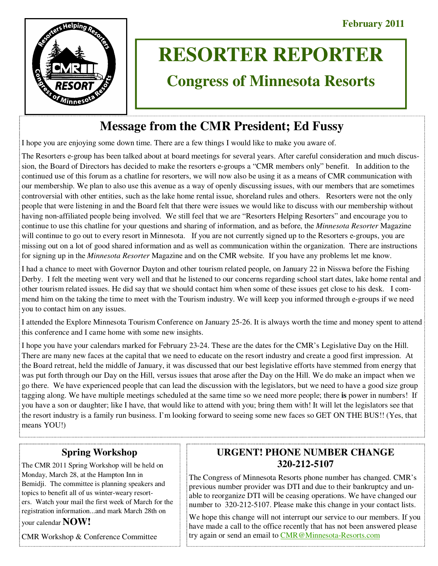

# **RESORTER REPORTER**

# **Congress of Minnesota Resorts**

## **Message from the CMR President; Ed Fussy**

I hope you are enjoying some down time. There are a few things I would like to make you aware of.

The Resorters e-group has been talked about at board meetings for several years. After careful consideration and much discussion, the Board of Directors has decided to make the resorters e-groups a "CMR members only" benefit. In addition to the continued use of this forum as a chatline for resorters, we will now also be using it as a means of CMR communication with our membership. We plan to also use this avenue as a way of openly discussing issues, with our members that are sometimes controversial with other entities, such as the lake home rental issue, shoreland rules and others. Resorters were not the only people that were listening in and the Board felt that there were issues we would like to discuss with our membership without having non-affiliated people being involved. We still feel that we are "Resorters Helping Resorters" and encourage you to continue to use this chatline for your questions and sharing of information, and as before, the *Minnesota Resorter* Magazine will continue to go out to every resort in Minnesota. If you are not currently signed up to the Resorters e-groups, you are missing out on a lot of good shared information and as well as communication within the organization. There are instructions for signing up in the *Minnesota Resorter* Magazine and on the CMR website. If you have any problems let me know.

I had a chance to meet with Governor Dayton and other tourism related people, on January 22 in Nisswa before the Fishing Derby. I felt the meeting went very well and that he listened to our concerns regarding school start dates, lake home rental and other tourism related issues. He did say that we should contact him when some of these issues get close to his desk. I commend him on the taking the time to meet with the Tourism industry. We will keep you informed through e-groups if we need you to contact him on any issues.

I attended the Explore Minnesota Tourism Conference on January 25-26. It is always worth the time and money spent to attend this conference and I came home with some new insights.

I hope you have your calendars marked for February 23-24. These are the dates for the CMR's Legislative Day on the Hill. There are many new faces at the capital that we need to educate on the resort industry and create a good first impression. At the Board retreat, held the middle of January, it was discussed that our best legislative efforts have stemmed from energy that was put forth through our Day on the Hill, versus issues that arose after the Day on the Hill. We do make an impact when we go there. We have experienced people that can lead the discussion with the legislators, but we need to have a good size group tagging along. We have multiple meetings scheduled at the same time so we need more people; there **is** power in numbers! If you have a son or daughter; like I have, that would like to attend with you; bring them with! It will let the legislators see that the resort industry is a family run business. I'm looking forward to seeing some new faces so GET ON THE BUS!! (Yes, that means YOU!)

## **Spring Workshop**

The CMR 2011 Spring Workshop will be held on Monday, March 28, at the Hampton Inn in Bemidji. The committee is planning speakers and topics to benefit all of us winter-weary resorters. Watch your mail the first week of March for the registration information...and mark March 28th on your calendar **NOW!** 

CMR Workshop & Conference Committee

## **URGENT! PHONE NUMBER CHANGE 320-212-5107**

The Congress of Minnesota Resorts phone number has changed. CMR's previous number provider was DTI and due to their bankruptcy and unable to reorganize DTI will be ceasing operations. We have changed our number to 320-212-5107. Please make this change in your contact lists.

We hope this change will not interrupt our service to our members. If you have made a call to the office recently that has not been answered please try again or send an email to CMR@Minnesota-Resorts.com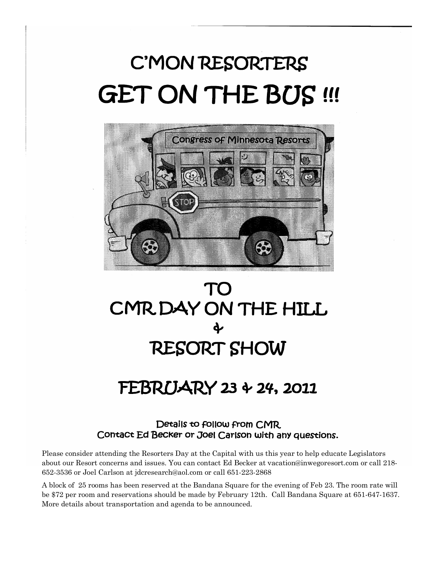# C'MON RESORTERS **GET ON THE BUS !!!**





# FEBRUARY 23 + 24, 2011

## Details to follow from CMR Contact Ed Becker or Joel Carlson with any questions.

Please consider attending the Resorters Day at the Capital with us this year to help educate Legislators about our Resort concerns and issues. You can contact Ed Becker at vacation@inwegoresort.com or call 218- 652-3536 or Joel Carlson at jdcresearch@aol.com or call 651-223-2868

A block of 25 rooms has been reserved at the Bandana Square for the evening of Feb 23. The room rate will be \$72 per room and reservations should be made by February 12th. Call Bandana Square at 651-647-1637. More details about transportation and agenda to be announced.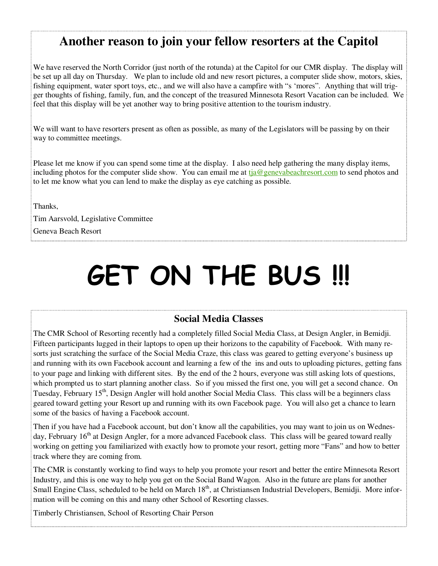## **Another reason to join your fellow resorters at the Capitol**

We have reserved the North Corridor (just north of the rotunda) at the Capitol for our CMR display. The display will be set up all day on Thursday. We plan to include old and new resort pictures, a computer slide show, motors, skies, fishing equipment, water sport toys, etc., and we will also have a campfire with "s 'mores". Anything that will trigger thoughts of fishing, family, fun, and the concept of the treasured Minnesota Resort Vacation can be included. We feel that this display will be yet another way to bring positive attention to the tourism industry.

We will want to have resorters present as often as possible, as many of the Legislators will be passing by on their way to committee meetings.

Please let me know if you can spend some time at the display. I also need help gathering the many display items, including photos for the computer slide show. You can email me at tja@genevabeachresort.com to send photos and to let me know what you can lend to make the display as eye catching as possible.

Thanks,

Tim Aarsvold, Legislative Committee Geneva Beach Resort

# **GET ON THE BUS !!!**

## **Social Media Classes**

The CMR School of Resorting recently had a completely filled Social Media Class, at Design Angler, in Bemidji. Fifteen participants lugged in their laptops to open up their horizons to the capability of Facebook. With many resorts just scratching the surface of the Social Media Craze, this class was geared to getting everyone's business up and running with its own Facebook account and learning a few of the ins and outs to uploading pictures, getting fans to your page and linking with different sites. By the end of the 2 hours, everyone was still asking lots of questions, which prompted us to start planning another class. So if you missed the first one, you will get a second chance. On Tuesday, February 15<sup>th</sup>, Design Angler will hold another Social Media Class. This class will be a beginners class geared toward getting your Resort up and running with its own Facebook page. You will also get a chance to learn some of the basics of having a Facebook account.

Then if you have had a Facebook account, but don't know all the capabilities, you may want to join us on Wednesday, February 16<sup>th</sup> at Design Angler, for a more advanced Facebook class. This class will be geared toward really working on getting you familiarized with exactly how to promote your resort, getting more "Fans" and how to better track where they are coming from.

The CMR is constantly working to find ways to help you promote your resort and better the entire Minnesota Resort Industry, and this is one way to help you get on the Social Band Wagon. Also in the future are plans for another Small Engine Class, scheduled to be held on March 18<sup>th</sup>, at Christiansen Industrial Developers, Bemidji. More information will be coming on this and many other School of Resorting classes.

Timberly Christiansen, School of Resorting Chair Person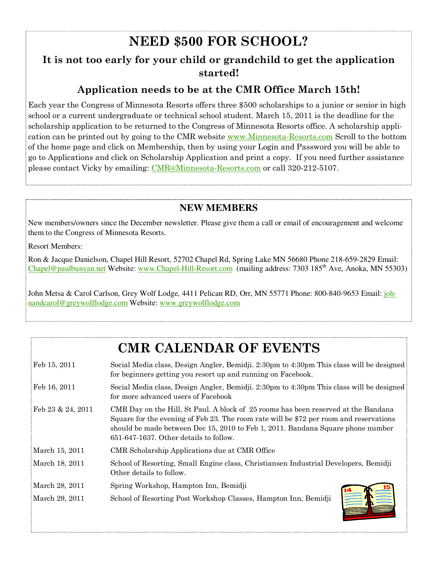## **NEED \$500 FOR SCHOOL?**

## **It is not too early for your child or grandchild to get the application started!**

## **Application needs to be at the CMR Office March 15th!**

Each year the Congress of Minnesota Resorts offers three \$500 scholarships to a junior or senior in high school or a current undergraduate or technical school student. March 15, 2011 is the deadline for the scholarship application to be returned to the Congress of Minnesota Resorts office. A scholarship application can be printed out by going to the CMR website <u>www.Minnesota-Resorts.com</u> Scroll to the bottom of the home page and click on Membership, then by using your Login and Password you will be able to go to Applications and click on Scholarship Application and print a copy. If you need further assistance please contact Vicky by emailing: CMR@Minnesota-Resorts.com or call 320-212-5107.

## **NEW MEMBERS**

New members/owners since the December newsletter. Please give them a call or email of encouragement and welcome them to the Congress of Minnesota Resorts.

Resort Members:

Ron & Jacque Danielson, Chapel Hill Resort, 52702 Chapel Rd, Spring Lake MN 56680 Phone 218-659-2829 Email: Chapel@paulbunyan.net Website: www.Chapel-Hill-Resort.com (mailing address: 7303 185<sup>th</sup> Ave, Anoka, MN 55303)

John Metsa & Carol Carlson, Grey Wolf Lodge, 4411 Pelican RD, Orr, MN 55771 Phone: 800-840-9653 Email: johnandcarol@greywolflodge.com Website: www.greywolflodge.com

## **CMR CALENDAR OF EVENTS**

| Feb 15, 2011      | Social Media class, Design Angler, Bemidji. 2:30pm to 4:30pm This class will be designed<br>for beginners getting you resort up and running on Facebook.                                                                                                                                                     |
|-------------------|--------------------------------------------------------------------------------------------------------------------------------------------------------------------------------------------------------------------------------------------------------------------------------------------------------------|
| Feb 16, 2011      | Social Media class, Design Angler, Bemidji. 2:30pm to 4:30pm This class will be designed<br>for more advanced users of Facebook                                                                                                                                                                              |
| Feb 23 & 24, 2011 | CMR Day on the Hill, St Paul. A block of 25 rooms has been reserved at the Bandana<br>Square for the evening of Feb 23. The room rate will be \$72 per room and reservations<br>should be made between Dec 15, 2010 to Feb 1, 2011. Bandana Square phone number<br>$651-647-1637$ . Other details to follow. |
| March 15, 2011    | CMR Scholarship Applications due at CMR Office                                                                                                                                                                                                                                                               |
| March 18, 2011    | School of Resorting, Small Engine class, Christiansen Industrial Developers, Bemidji<br>Other details to follow.                                                                                                                                                                                             |
| March 28, 2011    | Spring Workshop, Hampton Inn, Bemidji                                                                                                                                                                                                                                                                        |
| March 29, 2011    | School of Resorting Post Workshop Classes, Hampton Inn, Bemidji                                                                                                                                                                                                                                              |